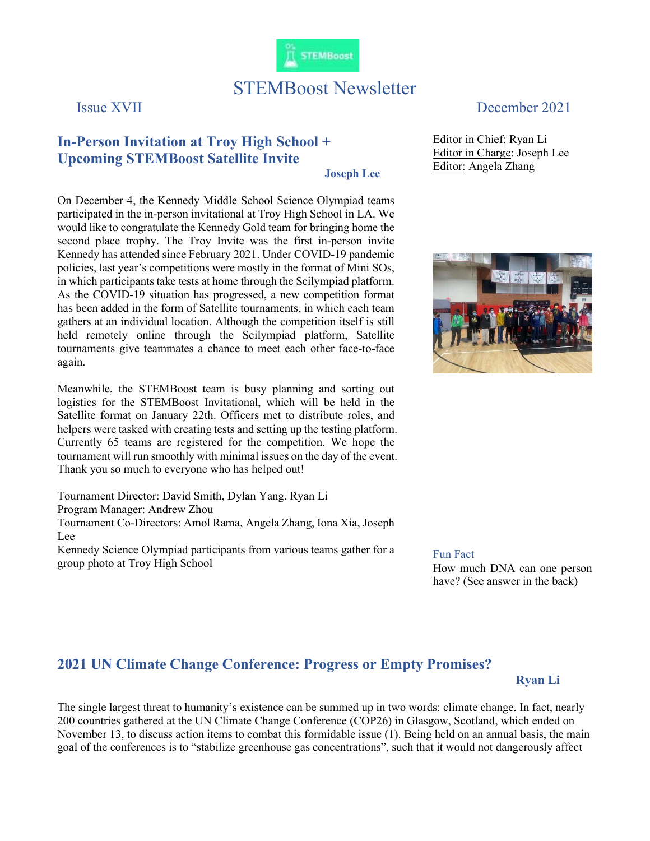

# STEMBoost Newsletter

## In-Person Invitation at Troy High School + Upcoming STEMBoost Satellite Invite

Joseph Lee

On December 4, the Kennedy Middle School Science Olympiad teams participated in the in-person invitational at Troy High School in LA. We would like to congratulate the Kennedy Gold team for bringing home the second place trophy. The Troy Invite was the first in-person invite Kennedy has attended since February 2021. Under COVID-19 pandemic policies, last year's competitions were mostly in the format of Mini SOs, in which participants take tests at home through the Scilympiad platform. As the COVID-19 situation has progressed, a new competition format has been added in the form of Satellite tournaments, in which each team gathers at an individual location. Although the competition itself is still held remotely online through the Scilympiad platform, Satellite tournaments give teammates a chance to meet each other face-to-face again.

Meanwhile, the STEMBoost team is busy planning and sorting out logistics for the STEMBoost Invitational, which will be held in the Satellite format on January 22th. Officers met to distribute roles, and helpers were tasked with creating tests and setting up the testing platform. Currently 65 teams are registered for the competition. We hope the tournament will run smoothly with minimal issues on the day of the event. Thank you so much to everyone who has helped out!

Tournament Director: David Smith, Dylan Yang, Ryan Li Program Manager: Andrew Zhou Tournament Co-Directors: Amol Rama, Angela Zhang, Iona Xia, Joseph Lee Kennedy Science Olympiad participants from various teams gather for a

group photo at Troy High School

## Issue XVII December 2021

Editor in Chief: Ryan Li Editor in Charge: Joseph Lee Editor: Angela Zhang



Fun Fact How much DNA can one person have? (See answer in the back)

### 2021 UN Climate Change Conference: Progress or Empty Promises?

#### Ryan Li

The single largest threat to humanity's existence can be summed up in two words: climate change. In fact, nearly 200 countries gathered at the UN Climate Change Conference (COP26) in Glasgow, Scotland, which ended on November 13, to discuss action items to combat this formidable issue (1). Being held on an annual basis, the main goal of the conferences is to "stabilize greenhouse gas concentrations", such that it would not dangerously affect